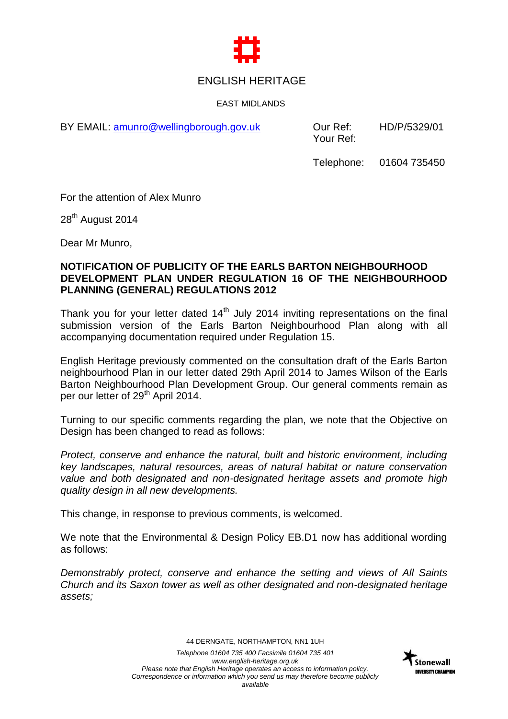

## ENGLISH HERITAGE

EAST MIDLANDS

BY EMAIL: [amunro@wellingborough.gov.uk](mailto:amunro@wellingborough.gov.uk) Our Ref:

Your Ref: HD/P/5329/01

Telephone: 01604 735450

For the attention of Alex Munro

28<sup>th</sup> August 2014

Dear Mr Munro,

## **NOTIFICATION OF PUBLICITY OF THE EARLS BARTON NEIGHBOURHOOD DEVELOPMENT PLAN UNDER REGULATION 16 OF THE NEIGHBOURHOOD PLANNING (GENERAL) REGULATIONS 2012**

Thank you for your letter dated  $14<sup>th</sup>$  July 2014 inviting representations on the final submission version of the Earls Barton Neighbourhood Plan along with all accompanying documentation required under Regulation 15.

English Heritage previously commented on the consultation draft of the Earls Barton neighbourhood Plan in our letter dated 29th April 2014 to James Wilson of the Earls Barton Neighbourhood Plan Development Group. Our general comments remain as per our letter of 29<sup>th</sup> April 2014.

Turning to our specific comments regarding the plan, we note that the Objective on Design has been changed to read as follows:

*Protect, conserve and enhance the natural, built and historic environment, including key landscapes, natural resources, areas of natural habitat or nature conservation value and both designated and non-designated heritage assets and promote high quality design in all new developments.*

This change, in response to previous comments, is welcomed.

We note that the Environmental & Design Policy EB.D1 now has additional wording as follows:

*Demonstrably protect, conserve and enhance the setting and views of All Saints Church and its Saxon tower as well as other designated and non-designated heritage assets;*

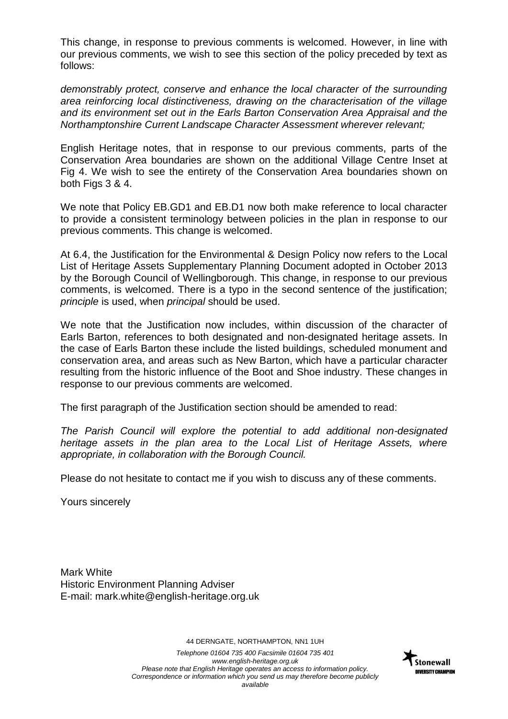This change, in response to previous comments is welcomed. However, in line with our previous comments, we wish to see this section of the policy preceded by text as follows:

*demonstrably protect, conserve and enhance the local character of the surrounding area reinforcing local distinctiveness, drawing on the characterisation of the village and its environment set out in the Earls Barton Conservation Area Appraisal and the Northamptonshire Current Landscape Character Assessment wherever relevant;*

English Heritage notes, that in response to our previous comments, parts of the Conservation Area boundaries are shown on the additional Village Centre Inset at Fig 4. We wish to see the entirety of the Conservation Area boundaries shown on both Figs 3 & 4.

We note that Policy EB.GD1 and EB.D1 now both make reference to local character to provide a consistent terminology between policies in the plan in response to our previous comments. This change is welcomed.

At 6.4, the Justification for the Environmental & Design Policy now refers to the Local List of Heritage Assets Supplementary Planning Document adopted in October 2013 by the Borough Council of Wellingborough. This change, in response to our previous comments, is welcomed. There is a typo in the second sentence of the justification; *principle* is used, when *principal* should be used.

We note that the Justification now includes, within discussion of the character of Earls Barton, references to both designated and non-designated heritage assets. In the case of Earls Barton these include the listed buildings, scheduled monument and conservation area, and areas such as New Barton, which have a particular character resulting from the historic influence of the Boot and Shoe industry. These changes in response to our previous comments are welcomed.

The first paragraph of the Justification section should be amended to read:

*The Parish Council will explore the potential to add additional non-designated heritage assets in the plan area to the Local List of Heritage Assets, where appropriate, in collaboration with the Borough Council.*

Please do not hesitate to contact me if you wish to discuss any of these comments.

Yours sincerely

Mark White Historic Environment Planning Adviser E-mail: mark.white@english-heritage.org.uk

44 DERNGATE, NORTHAMPTON, NN1 1UH

*Telephone 01604 735 400 Facsimile 01604 735 401 www.english-heritage.org.uk Please note that English Heritage operates an access to information policy. Correspondence or information which you send us may therefore become publicly available*